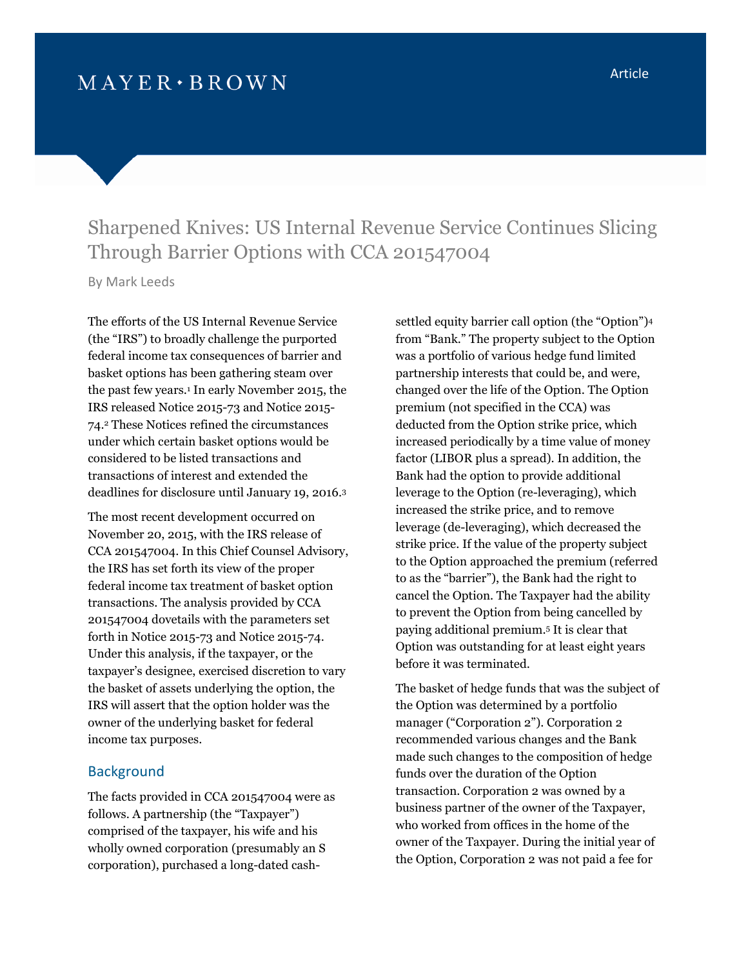# Sharpened Knives: US Internal Revenue Service Continues Slicing Through Barrier Options with CCA 201547004

By Mark Leeds

The efforts of the US Internal Revenue Service (the "IRS") to broadly challenge the purported federal income tax consequences of barrier and basket options has been gathering steam over the past few years.[1](#page-3-0) In early November 2015, the IRS released Notice 2015-73 and Notice 2015- 74.[2](#page-3-1) These Notices refined the circumstances under which certain basket options would be considered to be listed transactions and transactions of interest and extended the deadlines for disclosure until January 19, 2016.[3](#page-3-2)

The most recent development occurred on November 20, 2015, with the IRS release of CCA 201547004. In this Chief Counsel Advisory, the IRS has set forth its view of the proper federal income tax treatment of basket option transactions. The analysis provided by CCA 201547004 dovetails with the parameters set forth in Notice 2015-73 and Notice 2015-74. Under this analysis, if the taxpayer, or the taxpayer's designee, exercised discretion to vary the basket of assets underlying the option, the IRS will assert that the option holder was the owner of the underlying basket for federal income tax purposes.

#### **Background**

The facts provided in CCA 201547004 were as follows. A partnership (the "Taxpayer") comprised of the taxpayer, his wife and his wholly owned corporation (presumably an S corporation), purchased a long-dated cash-

settled equity barrier call option (the "Option")[4](#page-3-3) from "Bank." The property subject to the Option was a portfolio of various hedge fund limited partnership interests that could be, and were, changed over the life of the Option. The Option premium (not specified in the CCA) was deducted from the Option strike price, which increased periodically by a time value of money factor (LIBOR plus a spread). In addition, the Bank had the option to provide additional leverage to the Option (re-leveraging), which increased the strike price, and to remove leverage (de-leveraging), which decreased the strike price. If the value of the property subject to the Option approached the premium (referred to as the "barrier"), the Bank had the right to cancel the Option. The Taxpayer had the ability to prevent the Option from being cancelled by paying additional premium.<sup>5</sup> [I](#page-3-4)t is clear that Option was outstanding for at least eight years before it was terminated.

The basket of hedge funds that was the subject of the Option was determined by a portfolio manager ("Corporation 2"). Corporation 2 recommended various changes and the Bank made such changes to the composition of hedge funds over the duration of the Option transaction. Corporation 2 was owned by a business partner of the owner of the Taxpayer, who worked from offices in the home of the owner of the Taxpayer. During the initial year of the Option, Corporation 2 was not paid a fee for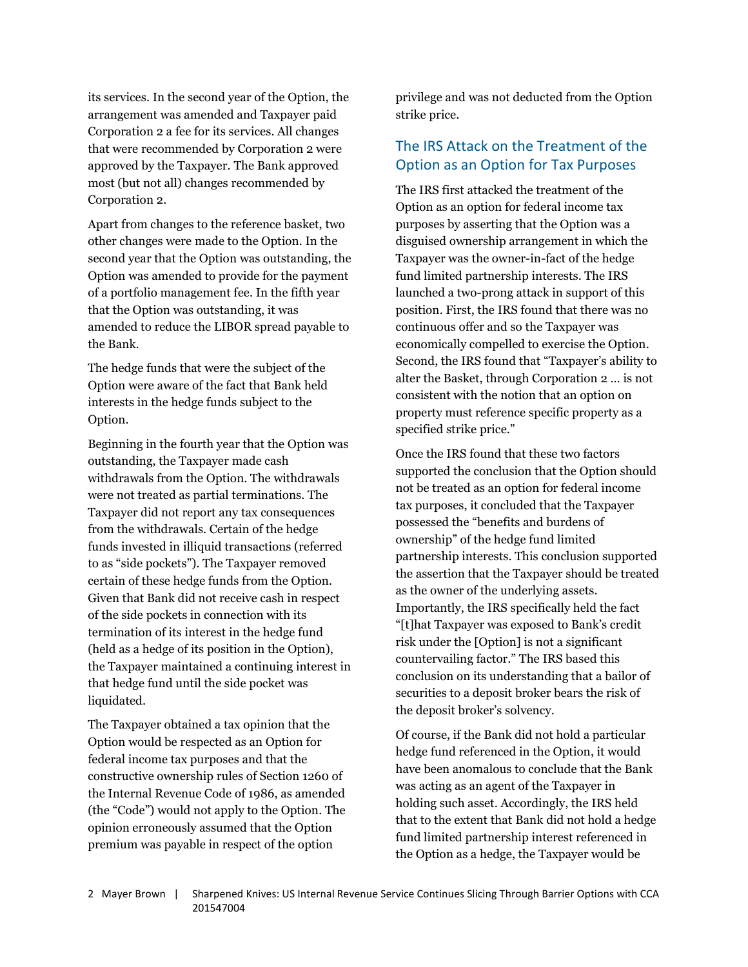its services. In the second year of the Option, the arrangement was amended and Taxpayer paid Corporation 2 a fee for its services. All changes that were recommended by Corporation 2 were approved by the Taxpayer. The Bank approved most (but not all) changes recommended by Corporation 2.

Apart from changes to the reference basket, two other changes were made to the Option. In the second year that the Option was outstanding, the Option was amended to provide for the payment of a portfolio management fee. In the fifth year that the Option was outstanding, it was amended to reduce the LIBOR spread payable to the Bank.

The hedge funds that were the subject of the Option were aware of the fact that Bank held interests in the hedge funds subject to the Option.

Beginning in the fourth year that the Option was outstanding, the Taxpayer made cash withdrawals from the Option. The withdrawals were not treated as partial terminations. The Taxpayer did not report any tax consequences from the withdrawals. Certain of the hedge funds invested in illiquid transactions (referred to as "side pockets"). The Taxpayer removed certain of these hedge funds from the Option. Given that Bank did not receive cash in respect of the side pockets in connection with its termination of its interest in the hedge fund (held as a hedge of its position in the Option), the Taxpayer maintained a continuing interest in that hedge fund until the side pocket was liquidated.

The Taxpayer obtained a tax opinion that the Option would be respected as an Option for federal income tax purposes and that the constructive ownership rules of Section 1260 of the Internal Revenue Code of 1986, as amended (the "Code") would not apply to the Option. The opinion erroneously assumed that the Option premium was payable in respect of the option

privilege and was not deducted from the Option strike price.

## The IRS Attack on the Treatment of the Option as an Option for Tax Purposes

The IRS first attacked the treatment of the Option as an option for federal income tax purposes by asserting that the Option was a disguised ownership arrangement in which the Taxpayer was the owner-in-fact of the hedge fund limited partnership interests. The IRS launched a two-prong attack in support of this position. First, the IRS found that there was no continuous offer and so the Taxpayer was economically compelled to exercise the Option. Second, the IRS found that "Taxpayer's ability to alter the Basket, through Corporation 2 … is not consistent with the notion that an option on property must reference specific property as a specified strike price."

Once the IRS found that these two factors supported the conclusion that the Option should not be treated as an option for federal income tax purposes, it concluded that the Taxpayer possessed the "benefits and burdens of ownership" of the hedge fund limited partnership interests. This conclusion supported the assertion that the Taxpayer should be treated as the owner of the underlying assets. Importantly, the IRS specifically held the fact "[t]hat Taxpayer was exposed to Bank's credit risk under the [Option] is not a significant countervailing factor." The IRS based this conclusion on its understanding that a bailor of securities to a deposit broker bears the risk of the deposit broker's solvency.

Of course, if the Bank did not hold a particular hedge fund referenced in the Option, it would have been anomalous to conclude that the Bank was acting as an agent of the Taxpayer in holding such asset. Accordingly, the IRS held that to the extent that Bank did not hold a hedge fund limited partnership interest referenced in the Option as a hedge, the Taxpayer would be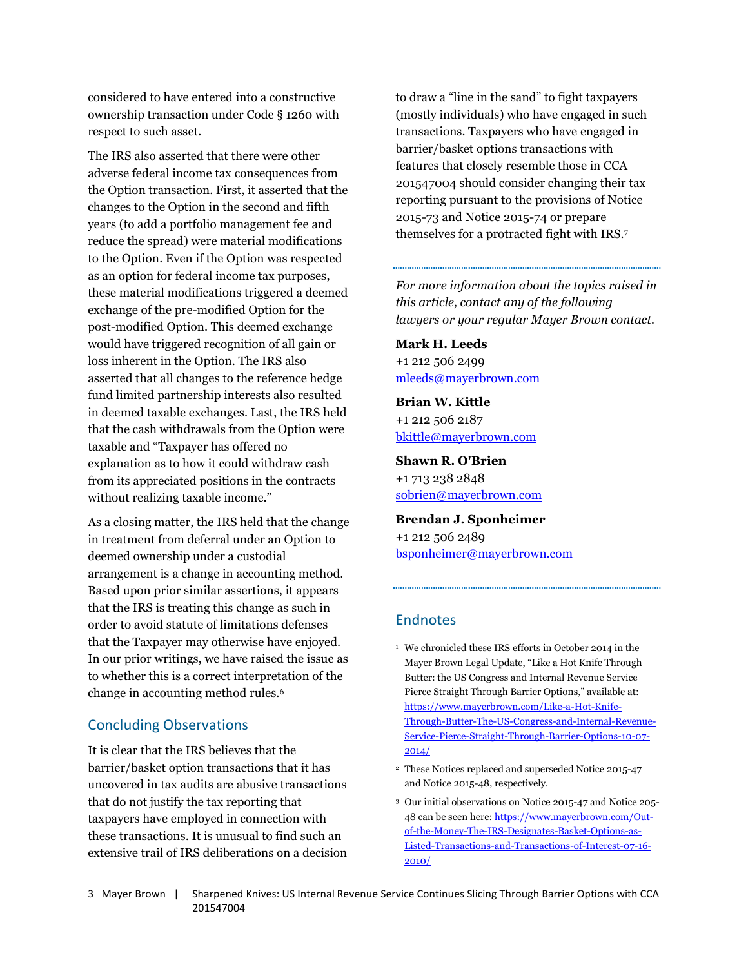considered to have entered into a constructive ownership transaction under Code § 1260 with respect to such asset.

The IRS also asserted that there were other adverse federal income tax consequences from the Option transaction. First, it asserted that the changes to the Option in the second and fifth years (to add a portfolio management fee and reduce the spread) were material modifications to the Option. Even if the Option was respected as an option for federal income tax purposes, these material modifications triggered a deemed exchange of the pre-modified Option for the post-modified Option. This deemed exchange would have triggered recognition of all gain or loss inherent in the Option. The IRS also asserted that all changes to the reference hedge fund limited partnership interests also resulted in deemed taxable exchanges. Last, the IRS held that the cash withdrawals from the Option were taxable and "Taxpayer has offered no explanation as to how it could withdraw cash from its appreciated positions in the contracts without realizing taxable income."

As a closing matter, the IRS held that the change in treatment from deferral under an Option to deemed ownership under a custodial arrangement is a change in accounting method. Based upon prior similar assertions, it appears that the IRS is treating this change as such in order to avoid statute of limitations defenses that the Taxpayer may otherwise have enjoyed. In our prior writings, we have raised the issue as to whether this is a correct interpretation of the change in accounting method rules.[6](#page-3-5)

#### Concluding Observations

It is clear that the IRS believes that the barrier/basket option transactions that it has uncovered in tax audits are abusive transactions that do not justify the tax reporting that taxpayers have employed in connection with these transactions. It is unusual to find such an extensive trail of IRS deliberations on a decision to draw a "line in the sand" to fight taxpayers (mostly individuals) who have engaged in such transactions. Taxpayers who have engaged in barrier/basket options transactions with features that closely resemble those in CCA 201547004 should consider changing their tax reporting pursuant to the provisions of Notice 2015-73 and Notice 2015-74 or prepare themselves for a protracted fight with IRS.[7](#page-3-6)

## *For more information about the topics raised in this article, contact any of the following lawyers or your regular Mayer Brown contact.*

**Mark H. Leeds** +1 212 506 2499 [mleeds@mayerbrown.com](mailto:mleeds@mayerbrown.com)

**Brian W. Kittle** +1 212 506 2187 [bkittle@mayerbrown.com](mailto:bkittle@mayerbrown.com)

**Shawn R. O'Brien** +1 713 238 2848 [sobrien@mayerbrown.com](mailto:sobrien@mayerbrown.com)

**Brendan J. Sponheimer** +1 212 506 2489 [bsponheimer@mayerbrown.com](mailto:bsponheimer@mayerbrown.com)

## **Endnotes**

<sup>1</sup> We chronicled these IRS efforts in October 2014 in the Mayer Brown Legal Update, "Like a Hot Knife Through Butter: the US Congress and Internal Revenue Service Pierce Straight Through Barrier Options," available at: https://www.mayerbrown.com/Like-a-Hot-Knife-[Through-Butter-The-US-Congress-and-Internal-Revenue-](https://www.mayerbrown.com/Like-a-Hot-Knife-Through-Butter-The-US-Congress-and-Internal-Revenue-Service-Pierce-Straight-Through-Barrier-Options-10-07-2014/)Service-Pierce-Straight-Through-Barrier-Options-10-07- 2014/

- <sup>2</sup> These Notices replaced and superseded Notice 2015-47 and Notice 2015-48, respectively.
- <sup>3</sup> Our initial observations on Notice 2015-47 and Notice 205- 48 can be seen here: https://www.mayerbrown.com/Outof-the-Money-The-IRS-Designates-Basket-Options-as-[Listed-Transactions-and-Transactions-of-Interest-07-16-](https://www.mayerbrown.com/Out-of-the-Money-The-IRS-Designates-Basket-Options-as-Listed-Transactions-and-Transactions-of-Interest-07-16-2010/) 2010/